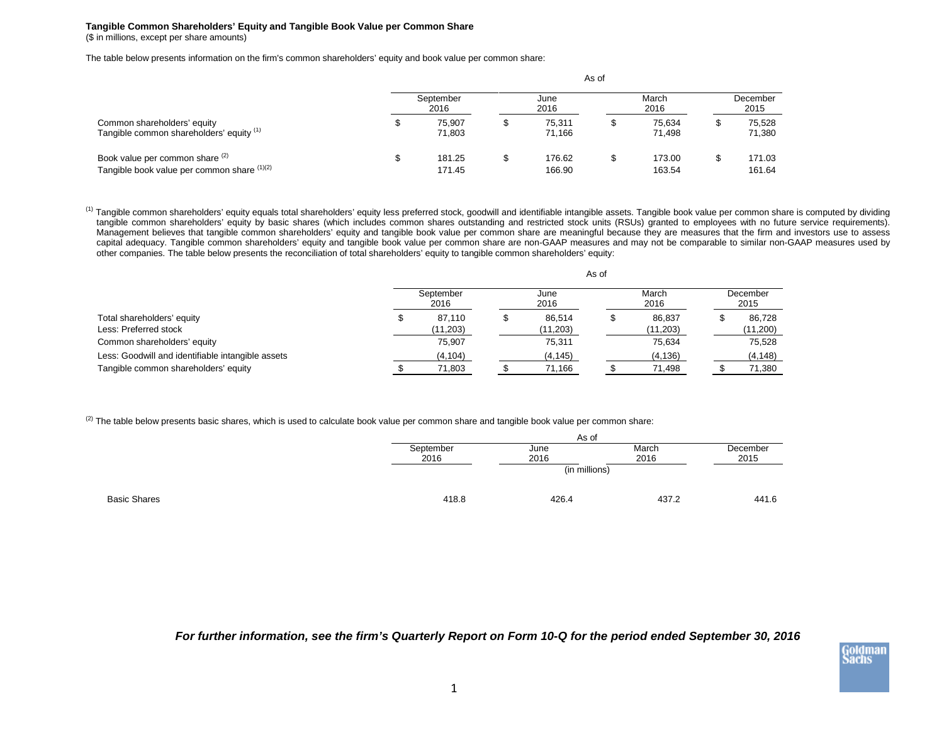## **Tangible Common Shareholders' Equity and Tangible Book Value per Common Share** (\$ in millions, except per share amounts)

The table below presents information on the firm's common shareholders' equity and book value per common share:

|                                                                                |                   |                  |              |                  | As of         |                  | December<br>2015<br>75.528<br>71,380 |                  |  |  |  |  |
|--------------------------------------------------------------------------------|-------------------|------------------|--------------|------------------|---------------|------------------|--------------------------------------|------------------|--|--|--|--|
|                                                                                | September<br>2016 |                  | June<br>2016 |                  | March<br>2016 |                  |                                      |                  |  |  |  |  |
| Common shareholders' equity<br>Tangible common shareholders' equity (1)        |                   | 75.907<br>71.803 |              | 75.311<br>71.166 | ۰D            | 75.634<br>71.498 |                                      |                  |  |  |  |  |
| Book value per common share (2)<br>Tangible book value per common share (1)(2) |                   | 181.25<br>171.45 |              | 176.62<br>166.90 | ۰D            | 173.00<br>163.54 |                                      | 171.03<br>161.64 |  |  |  |  |

<sup>(1)</sup> Tangible common shareholders' equity equals total shareholders' equity less preferred stock, goodwill and identifiable intangible assets. Tangible book value per common share is computed by dividing tangible common shareholders' equity by basic shares (which includes common shares outstanding and restricted stock units (RSUs) granted to employees with no future service requirements). Management believes that tangible common shareholders' equity and tangible book value per common share are meaningful because they are measures that the firm and investors use to assess capital adequacy. Tangible common shareholders' equity and tangible book value per common share are non-GAAP measures and may not be comparable to similar non-GAAP measures used by other companies. The table below presents the reconciliation of total shareholders' equity to tangible common shareholders' equity:

|                                                   | As of             |  |              |  |               |  |                  |  |  |  |
|---------------------------------------------------|-------------------|--|--------------|--|---------------|--|------------------|--|--|--|
|                                                   | September<br>2016 |  | June<br>2016 |  | March<br>2016 |  | December<br>2015 |  |  |  |
| Total shareholders' equity                        | 87.110            |  | 86.514       |  | 86.837        |  | 86,728           |  |  |  |
| Less: Preferred stock                             | (11,203)          |  | (11,203)     |  | (11, 203)     |  | (11,200)         |  |  |  |
| Common shareholders' equity                       | 75.907            |  | 75,311       |  | 75.634        |  | 75,528           |  |  |  |
| Less: Goodwill and identifiable intangible assets | (4, 104)          |  | (4, 145)     |  | (4, 136)      |  | (4, 148)         |  |  |  |
| Tangible common shareholders' equity              | 71,803            |  | 71,166       |  | 71,498        |  | 71,380           |  |  |  |

 $(2)$  The table below presents basic shares, which is used to calculate book value per common share and tangible book value per common share:

| As of     |               |       |          |  |  |  |  |  |
|-----------|---------------|-------|----------|--|--|--|--|--|
| September | June          | March | December |  |  |  |  |  |
| 2016      | 2016          | 2016  | 2015     |  |  |  |  |  |
|           | (in millions) |       |          |  |  |  |  |  |
| 418.8     | 426.4         | 437.2 | 441.6    |  |  |  |  |  |
|           |               |       |          |  |  |  |  |  |

*For further information, see the firm's Quarterly Report on Form 10-Q for the period ended September 30, 2016*